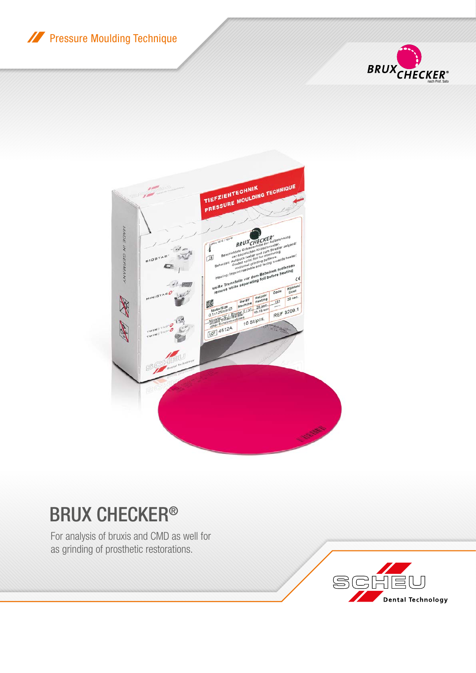**XX** Pressure Moulding Technique





## BRUX CHECKER®

For analysis of bruxis and CMD as well for as grinding of prosthetic restorations.

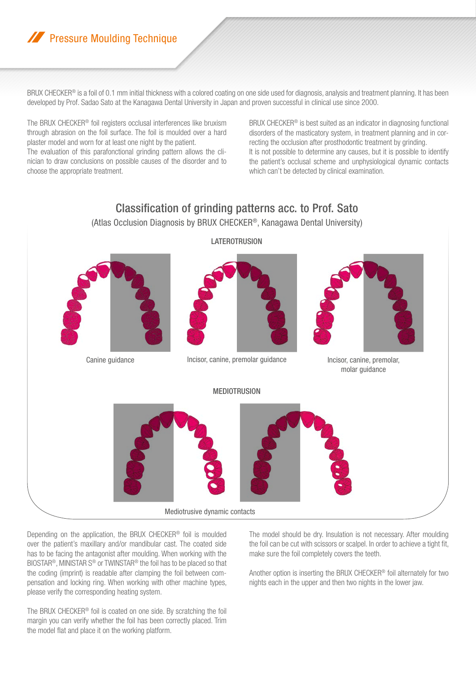## **A Pressure Moulding Technique**

BRUX CHECKER<sup>®</sup> is a foil of 0.1 mm initial thickness with a colored coating on one side used for diagnosis, analysis and treatment planning. It has been developed by Prof. Sadao Sato at the Kanagawa Dental University in Japan and proven successful in clinical use since 2000.

The BRUX CHECKER® foil registers occlusal interferences like bruxism through abrasion on the foil surface. The foil is moulded over a hard plaster model and worn for at least one night by the patient.

The evaluation of this parafonctional grinding pattern allows the clinician to draw conclusions on possible causes of the disorder and to choose the appropriate treatment.

BRUX CHECKER® is best suited as an indicator in diagnosing functional disorders of the masticatory system, in treatment planning and in correcting the occlusion after prosthodontic treatment by grinding. It is not possible to determine any causes, but it is possible to identify the patient's occlusal scheme and unphysiological dynamic contacts which can't be detected by clinical examination.



Depending on the application, the BRUX CHECKER® foil is moulded over the patient's maxillary and/or mandibular cast. The coated side has to be facing the antagonist after moulding. When working with the BIOSTAR®, MINISTAR S® or TWINSTAR® the foil has to be placed so that the coding (imprint) is readable after clamping the foil between compensation and locking ring. When working with other machine types, please verify the corresponding heating system.

The BRUX CHECKER® foil is coated on one side. By scratching the foil margin you can verify whether the foil has been correctly placed. Trim the model flat and place it on the working platform.

The model should be dry. Insulation is not necessary. After moulding the foil can be cut with scissors or scalpel. In order to achieve a tight fit, make sure the foil completely covers the teeth.

Another option is inserting the BRUX CHECKER® foil alternately for two nights each in the upper and then two nights in the lower jaw.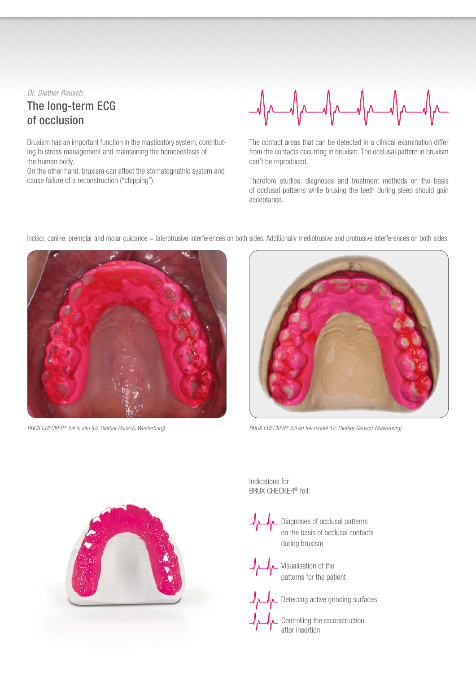*Dr. Diether Reusch:*

## The long-term ECG of occlusion

Bruxism has an important function in the masticatory system, contributing to stress management and maintaining the homoeostasis of the human body.

On the other hand, bruxism can affect the stomatognathic system and cause failure of a reconstruction ("chipping").



The contact areas that can be detected in a clinical examination differ from the contacts occurring in bruxism. The occlusal pattern in bruxism can't be reproduced.

Therefore studies, diagnoses and treatment methods on the basis of occlusal patterns while bruxing the teeth during sleep should gain acceptance.





*BRUX CHECKER® foil in situ (Dr. Diether Reusch, Westerburg) BRUX CHECKER® foil on the model (Dr. Diether Reusch Westerburg)*



Indications for BRUX CHECKER® foil:

> Diagnoses of occlusal patterns on the basis of occlusal contacts during bruxism

Visualisation of the patterns for the patient

Detecting active grinding surfaces

Controlling the reconstruction after insertion